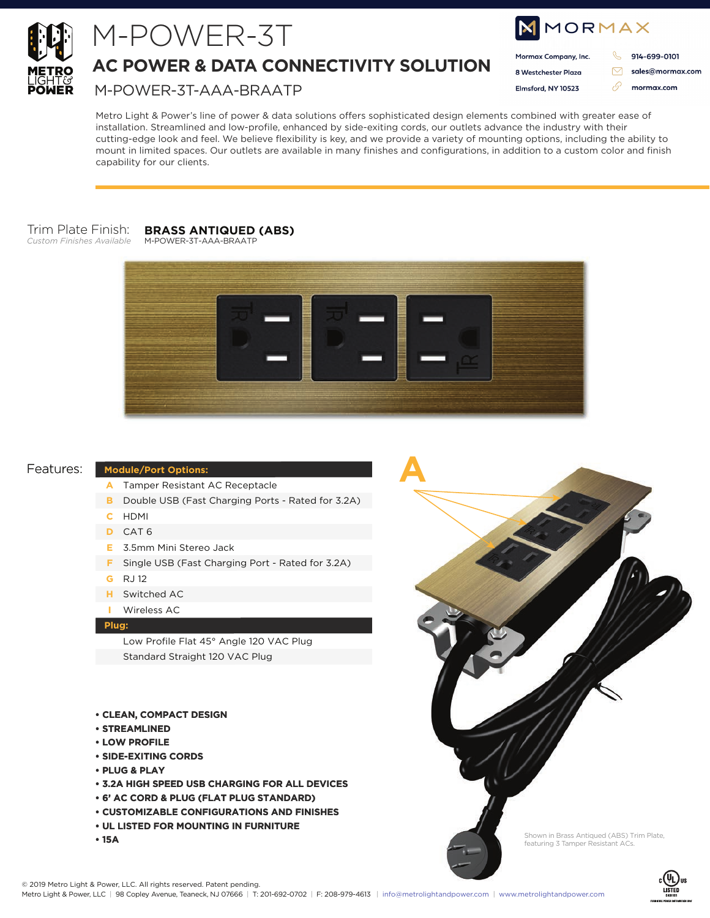

## M-POWER-3T

**AC POWER & DATA CONNECTIVITY SOLUTION**

M-POWER-3T-AAA-BRAATP

| NMORMAX |                      |  |                  |
|---------|----------------------|--|------------------|
|         | Mormax Company, Inc. |  | 914-699-0101     |
|         | 8 Westchester Plaza  |  | sales@mormax.com |
|         | Elmsford, NY 10523   |  | mormax.com       |
|         |                      |  |                  |

Metro Light & Power's line of power & data solutions offers sophisticated design elements combined with greater ease of installation. Streamlined and low-profile, enhanced by side-exiting cords, our outlets advance the industry with their cutting-edge look and feel. We believe flexibility is key, and we provide a variety of mounting options, including the ability to mount in limited spaces. Our outlets are available in many finishes and configurations, in addition to a custom color and finish capability for our clients.

#### Trim Plate Finish: **BRASS ANTIQUED (ABS)**

*Custom Finishes Available*



**A**

### Features:

#### **Module/Port Options:**

- **A** Tamper Resistant AC Receptacle
- **B** Double USB (Fast Charging Ports Rated for 3.2A)
- **C** HDMI
- **D** CAT 6
- **E** 3.5mm Mini Stereo Jack
- **F** Single USB (Fast Charging Port Rated for 3.2A)
- **G** RJ 12
- **H** Switched AC
- **I** Wireless AC

#### **Plug:**

Low Profile Flat 45° Angle 120 VAC Plug Standard Straight 120 VAC Plug

- **CLEAN, COMPACT DESIGN**
- **STREAMLINED**
- **LOW PROFILE**
- **SIDE-EXITING CORDS**
- **PLUG & PLAY**
- **3.2A HIGH SPEED USB CHARGING FOR ALL DEVICES**
- **6' AC CORD & PLUG (FLAT PLUG STANDARD)**
- **CUSTOMIZABLE CONFIGURATIONS AND FINISHES**
- **UL LISTED FOR MOUNTING IN FURNITURE**
- **15A**